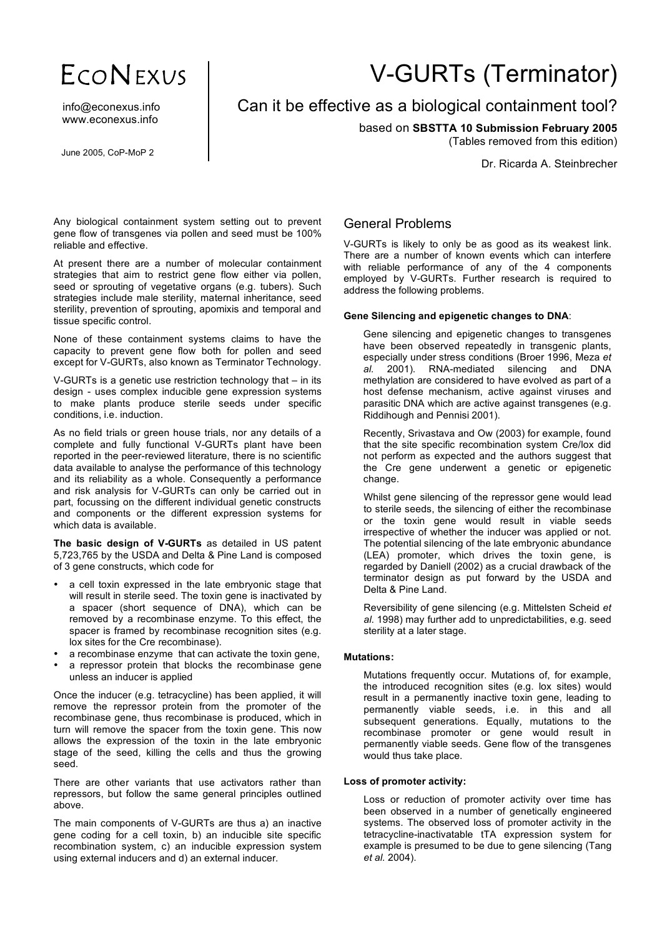# ECONEXUS

info@econexus.info www.econexus.info

June 2005, CoP-MoP 2

# V-GURTs (Terminator)

# Can it be effective as a biological containment tool?

based on **SBSTTA 10 Submission February 2005**

(Tables removed from this edition)

Dr. Ricarda A. Steinbrecher

Any biological containment system setting out to prevent gene flow of transgenes via pollen and seed must be 100% reliable and effective.

At present there are a number of molecular containment strategies that aim to restrict gene flow either via pollen, seed or sprouting of vegetative organs (e.g. tubers). Such strategies include male sterility, maternal inheritance, seed sterility, prevention of sprouting, apomixis and temporal and tissue specific control.

None of these containment systems claims to have the capacity to prevent gene flow both for pollen and seed except for V-GURTs, also known as Terminator Technology.

V-GURTs is a genetic use restriction technology that – in its design - uses complex inducible gene expression systems to make plants produce sterile seeds under specific conditions, i.e. induction.

As no field trials or green house trials, nor any details of a complete and fully functional V-GURTs plant have been reported in the peer-reviewed literature, there is no scientific data available to analyse the performance of this technology and its reliability as a whole. Consequently a performance and risk analysis for V-GURTs can only be carried out in part, focussing on the different individual genetic constructs and components or the different expression systems for which data is available.

**The basic design of V-GURTs** as detailed in US patent 5,723,765 by the USDA and Delta & Pine Land is composed of 3 gene constructs, which code for

- a cell toxin expressed in the late embryonic stage that will result in sterile seed. The toxin gene is inactivated by a spacer (short sequence of DNA), which can be removed by a recombinase enzyme. To this effect, the spacer is framed by recombinase recognition sites (e.g. lox sites for the Cre recombinase).
- a recombinase enzyme that can activate the toxin gene,
- a repressor protein that blocks the recombinase gene unless an inducer is applied

Once the inducer (e.g. tetracycline) has been applied, it will remove the repressor protein from the promoter of the recombinase gene, thus recombinase is produced, which in turn will remove the spacer from the toxin gene. This now allows the expression of the toxin in the late embryonic stage of the seed, killing the cells and thus the growing seed.

There are other variants that use activators rather than repressors, but follow the same general principles outlined above.

The main components of V-GURTs are thus a) an inactive gene coding for a cell toxin, b) an inducible site specific recombination system, c) an inducible expression system using external inducers and d) an external inducer.

# General Problems

V-GURTs is likely to only be as good as its weakest link. There are a number of known events which can interfere with reliable performance of any of the 4 components employed by V-GURTs. Further research is required to address the following problems.

#### **Gene Silencing and epigenetic changes to DNA**:

Gene silencing and epigenetic changes to transgenes have been observed repeatedly in transgenic plants, especially under stress conditions (Broer 1996, Meza *et al.* 2001). RNA-mediated silencing and DNA methylation are considered to have evolved as part of a host defense mechanism, active against viruses and parasitic DNA which are active against transgenes (e.g. Riddihough and Pennisi 2001).

Recently, Srivastava and Ow (2003) for example, found that the site specific recombination system Cre/lox did not perform as expected and the authors suggest that the Cre gene underwent a genetic or epigenetic change.

Whilst gene silencing of the repressor gene would lead to sterile seeds, the silencing of either the recombinase or the toxin gene would result in viable seeds irrespective of whether the inducer was applied or not. The potential silencing of the late embryonic abundance (LEA) promoter, which drives the toxin gene, is regarded by Daniell (2002) as a crucial drawback of the terminator design as put forward by the USDA and Delta & Pine Land.

Reversibility of gene silencing (e.g. Mittelsten Scheid *et al*. 1998) may further add to unpredictabilities, e.g. seed sterility at a later stage.

## **Mutations:**

Mutations frequently occur. Mutations of, for example, the introduced recognition sites (e.g. lox sites) would result in a permanently inactive toxin gene, leading to permanently viable seeds, i.e. in this and all subsequent generations. Equally, mutations to the recombinase promoter or gene would result in permanently viable seeds. Gene flow of the transgenes would thus take place.

## **Loss of promoter activity:**

Loss or reduction of promoter activity over time has been observed in a number of genetically engineered systems. The observed loss of promoter activity in the tetracycline-inactivatable tTA expression system for example is presumed to be due to gene silencing (Tang *et al.* 2004).